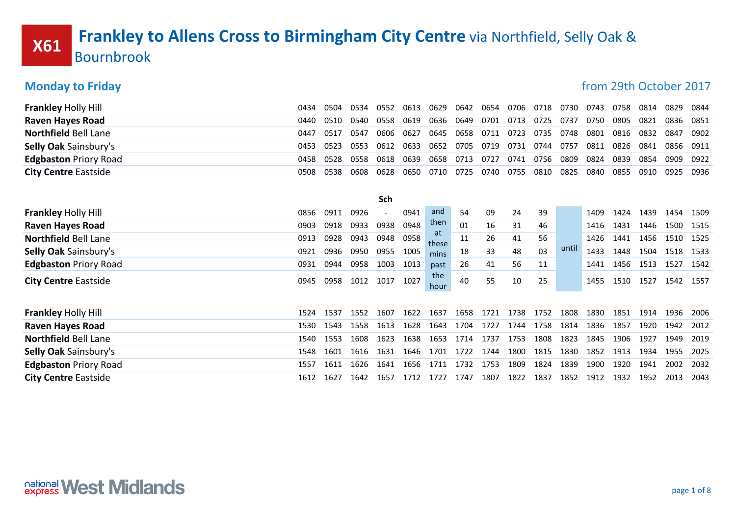# **X61** Frankley to Allens Cross to Birmingham City Centre via Northfield, Selly Oak & Bournbrook

### **Monday to Friday for the CONTEX CONSUMING THE CONTEXT OF THE CONTEXT OF THE CONTEXT OF THE CONTEXT OF THE CONTEXT OF THE CONTEXT OF THE CONTEXT OF THE CONTEXT OF THE CONTEXT OF THE CONTEXT OF THE CONTEXT OF THE CONTEXT OF**

| <b>Frankley Holly Hill</b>   | 0434 | 0504 | 0534 | 0552 | 0613 | 0629        | 0642 | 0654 | 0706 | 0718 | 0730  | 0743 | 0758 | 0814 | 0829 | 0844 |
|------------------------------|------|------|------|------|------|-------------|------|------|------|------|-------|------|------|------|------|------|
| <b>Raven Hayes Road</b>      | 0440 | 0510 | 0540 | 0558 | 0619 | 0636        | 0649 | 0701 | 0713 | 0725 | 0737  | 0750 | 0805 | 0821 | 0836 | 0851 |
| <b>Northfield Bell Lane</b>  | 0447 | 0517 | 0547 | 0606 | 0627 | 0645        | 0658 | 0711 | 0723 | 0735 | 0748  | 0801 | 0816 | 0832 | 0847 | 0902 |
| <b>Selly Oak Sainsbury's</b> | 0453 | 0523 | 0553 | 0612 | 0633 | 0652        | 0705 | 0719 | 0731 | 0744 | 0757  | 0811 | 0826 | 0841 | 0856 | 0911 |
| <b>Edgbaston Priory Road</b> | 0458 | 0528 | 0558 | 0618 | 0639 | 0658        | 0713 | 0727 | 0741 | 0756 | 0809  | 0824 | 0839 | 0854 | 0909 | 0922 |
| <b>City Centre Eastside</b>  | 0508 | 0538 | 0608 | 0628 | 0650 | 0710        | 0725 | 0740 | 0755 | 0810 | 0825  | 0840 | 0855 | 0910 | 0925 | 0936 |
|                              |      |      |      |      |      |             |      |      |      |      |       |      |      |      |      |      |
|                              |      |      |      | Sch  |      |             |      |      |      |      |       |      |      |      |      |      |
| <b>Frankley Holly Hill</b>   | 0856 | 0911 | 0926 |      | 0941 | and         | 54   | 09   | 24   | 39   |       | 1409 | 1424 | 1439 | 1454 | 1509 |
| <b>Raven Hayes Road</b>      | 0903 | 0918 | 0933 | 0938 | 0948 | then        | 01   | 16   | 31   | 46   |       | 1416 | 1431 | 1446 | 1500 | 1515 |
| <b>Northfield Bell Lane</b>  | 0913 | 0928 | 0943 | 0948 | 0958 | at<br>these | 11   | 26   | 41   | 56   |       | 1426 | 1441 | 1456 | 1510 | 1525 |
| Selly Oak Sainsbury's        | 0921 | 0936 | 0950 | 0955 | 1005 | mins        | 18   | 33   | 48   | 03   | until | 1433 | 1448 | 1504 | 1518 | 1533 |
| <b>Edgbaston Priory Road</b> | 0931 | 0944 | 0958 | 1003 | 1013 | past        | 26   | 41   | 56   | 11   |       | 1441 | 1456 | 1513 | 1527 | 1542 |
| <b>City Centre Eastside</b>  | 0945 | 0958 | 1012 | 1017 | 1027 | the<br>hour | 40   | 55   | 10   | 25   |       | 1455 | 1510 | 1527 | 1542 | 1557 |
|                              |      |      |      |      |      |             |      |      |      |      |       |      |      |      |      |      |
| <b>Frankley Holly Hill</b>   | 1524 | 1537 | 1552 | 1607 | 1622 | 1637        | 1658 | 1721 | 1738 | 1752 | 1808  | 1830 | 1851 | 1914 | 1936 | 2006 |
| <b>Raven Hayes Road</b>      | 1530 | 1543 | 1558 | 1613 | 1628 | 1643        | 1704 | 1727 | 1744 | 1758 | 1814  | 1836 | 1857 | 1920 | 1942 | 2012 |
| <b>Northfield Bell Lane</b>  | 1540 | 1553 | 1608 | 1623 | 1638 | 1653        | 1714 | 1737 | 1753 | 1808 | 1823  | 1845 | 1906 | 1927 | 1949 | 2019 |
| <b>Selly Oak Sainsbury's</b> | 1548 | 1601 | 1616 | 1631 | 1646 | 1701        | 1722 | 1744 | 1800 | 1815 | 1830  | 1852 | 1913 | 1934 | 1955 | 2025 |
| <b>Edgbaston Priory Road</b> | 1557 | 1611 | 1626 | 1641 | 1656 | 1711        | 1732 | 1753 | 1809 | 1824 | 1839  | 1900 | 1920 | 1941 | 2002 | 2032 |
| <b>City Centre Eastside</b>  | 1612 | 1627 | 1642 | 1657 | 1712 | 1727        | 1747 | 1807 | 1822 | 1837 | 1852  | 1912 | 1932 | 1952 | 2013 | 2043 |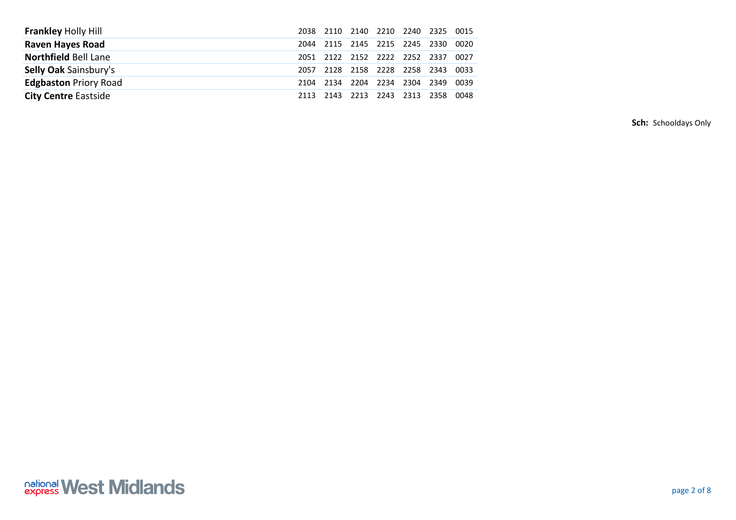| <b>Frankley Holly Hill</b>   |      | 2038 2110 |                               | 2140 2210 2240 2325 0015 |      |
|------------------------------|------|-----------|-------------------------------|--------------------------|------|
| <b>Raven Hayes Road</b>      | 2044 |           | 2115 2145 2215 2245 2330      |                          | 0020 |
| <b>Northfield Bell Lane</b>  | 2051 |           | 2122 2152 2222 2252 2337      |                          | 0027 |
| <b>Selly Oak Sainsbury's</b> | 2057 |           | 2128 2158 2228 2258 2343      |                          | 0033 |
| <b>Edgbaston Priory Road</b> | 2104 | 2134 2204 | 2234 2304 2349                |                          | 0039 |
| <b>City Centre Eastside</b>  |      |           | 2113 2143 2213 2243 2313 2358 |                          | 0048 |

**Sch:** Schooldays Only

## *<u><u><b>national</u>*</u> West Midlands</u>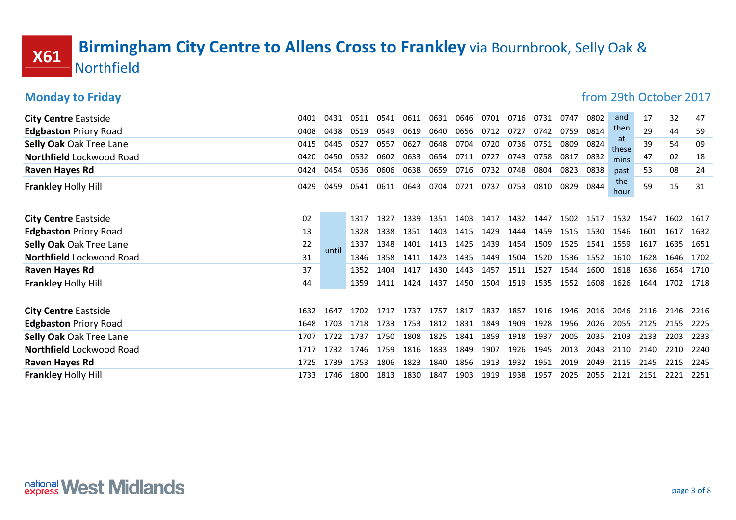## **X61** Birmingham City Centre to Allens Cross to Frankley via Bournbrook, Selly Oak & Northfield

### **Monday to Friday from 29th October 2017** City Centre Eastside 0401 1 0431 0511 0541 0611 0631 0646 0701 0716 0731 0747 0802 and 17 32 47 Edgbaston Priory Road 0408 8 0438 0519 0549 0619 0640 0656 0712 0727 0742 0759 0814 <sup>cherr</sup> 29 44 59 Selly Oak Oak Tree Lane 0415 5 0445 0527 0557 0627 0648 0704 0720 0736 0751 0809 0824 39 54 09 Northfield Lockwood Road 04200 0450 0532 0602 0633 0654 0711 0727 0743 0758 0817 0832 <sub>mins</sub> 47 02 18 Raven Hayes Rd <sup>0424</sup> <sup>0454</sup> <sup>0536</sup> <sup>0606</sup> <sup>0638</sup> <sup>0659</sup> <sup>0716</sup> <sup>0732</sup> <sup>0748</sup> <sup>0804</sup> <sup>0823</sup> <sup>0838</sup> 53 08 24 **Frankley Holly Hill** 20429 <sup>0459</sup> <sup>0541</sup> <sup>0611</sup> <sup>0643</sup> <sup>0704</sup> <sup>0721</sup> <sup>0737</sup> <sup>0753</sup> <sup>0810</sup> <sup>0829</sup> <sup>0844</sup> and then at these mins past the  $h_{\text{our}}$  59 15 31 **City Centre Eastside 22 1317** 202 <sup>1327</sup> <sup>1339</sup> <sup>1351</sup> <sup>1403</sup> <sup>1417</sup> <sup>1432</sup> <sup>1447</sup> <sup>1502</sup> <sup>1517</sup> <sup>1532</sup> <sup>1547</sup> <sup>1602</sup> <sup>1617</sup> Edgbaston Priory Road 13 1328 <sup>1338</sup> <sup>1351</sup> <sup>1403</sup> <sup>1415</sup> <sup>1429</sup> <sup>1444</sup> <sup>1459</sup> <sup>1515</sup> <sup>1530</sup> <sup>1546</sup> <sup>1601</sup> <sup>1617</sup> <sup>1632</sup> **Selly Oak Oak Tree Lane 22 1337**  <sup>1348</sup> <sup>1401</sup> <sup>1413</sup> <sup>1425</sup> <sup>1439</sup> <sup>1454</sup> <sup>1509</sup> <sup>1525</sup> <sup>1541</sup> <sup>1559</sup> <sup>1617</sup> <sup>1635</sup> <sup>1651</sup> Northfield Lockwood Road 31 2346 <sup>1358</sup> <sup>1411</sup> <sup>1423</sup> <sup>1435</sup> <sup>1449</sup> <sup>1504</sup> <sup>1520</sup> <sup>1536</sup> <sup>1552</sup> <sup>1610</sup> <sup>1628</sup> <sup>1646</sup> <sup>1702</sup> Raven Hayes Rd 37 1352 <sup>1404</sup> <sup>1417</sup> <sup>1430</sup> <sup>1443</sup> <sup>1457</sup> <sup>1511</sup> <sup>1527</sup> <sup>1544</sup> <sup>1600</sup> <sup>1618</sup> <sup>1636</sup> <sup>1654</sup> <sup>1710</sup> **Frankley Holly Hill** 44 until 1359 <sup>1411</sup> <sup>1424</sup> <sup>1437</sup> <sup>1450</sup> <sup>1504</sup> <sup>1519</sup> <sup>1535</sup> <sup>1552</sup> <sup>1608</sup> <sup>1626</sup> <sup>1644</sup> <sup>1702</sup> <sup>1718</sup> City Centre Eastside 1632 <sup>1647</sup> <sup>1702</sup> <sup>1717</sup> <sup>1737</sup> <sup>1757</sup> <sup>1817</sup> <sup>1837</sup> <sup>1857</sup> <sup>1916</sup> <sup>1946</sup> <sup>2016</sup> <sup>2046</sup> <sup>2116</sup> <sup>2146</sup> <sup>2216</sup> Edgbaston Priory Road 1648 <sup>1703</sup> <sup>1718</sup> <sup>1733</sup> <sup>1753</sup> <sup>1812</sup> <sup>1831</sup> <sup>1849</sup> <sup>1909</sup> <sup>1928</sup> <sup>1956</sup> <sup>2026</sup> <sup>2055</sup> <sup>2125</sup> <sup>2155</sup> <sup>2225</sup> Selly Oak Oak Tree Lane 1707 <sup>1722</sup> <sup>1737</sup> <sup>1750</sup> <sup>1808</sup> <sup>1825</sup> <sup>1841</sup> <sup>1859</sup> <sup>1918</sup> <sup>1937</sup> <sup>2005</sup> <sup>2035</sup> <sup>2103</sup> <sup>2133</sup> <sup>2203</sup> <sup>2233</sup> Northfield Lockwood Road 1717 <sup>1732</sup> <sup>1746</sup> <sup>1759</sup> <sup>1816</sup> <sup>1833</sup> <sup>1849</sup> <sup>1907</sup> <sup>1926</sup> <sup>1945</sup> <sup>2013</sup> <sup>2043</sup> <sup>2110</sup> <sup>2140</sup> <sup>2210</sup> <sup>2240</sup> Raven Hayes Rd <sup>1725</sup> <sup>1739</sup> <sup>1753</sup> <sup>1806</sup> <sup>1823</sup> <sup>1840</sup> <sup>1856</sup> <sup>1913</sup> <sup>1932</sup> <sup>1951</sup> <sup>2019</sup> <sup>2049</sup> <sup>2115</sup> <sup>2145</sup> <sup>2215</sup> <sup>2245</sup> **Frankley Holly Hill** 1733 <sup>1746</sup> <sup>1800</sup> <sup>1813</sup> <sup>1830</sup> <sup>1847</sup> <sup>1903</sup> <sup>1919</sup> <sup>1938</sup> <sup>1957</sup> <sup>2025</sup> <sup>2055</sup> <sup>2121</sup> <sup>2151</sup> <sup>2221</sup> <sup>2251</sup>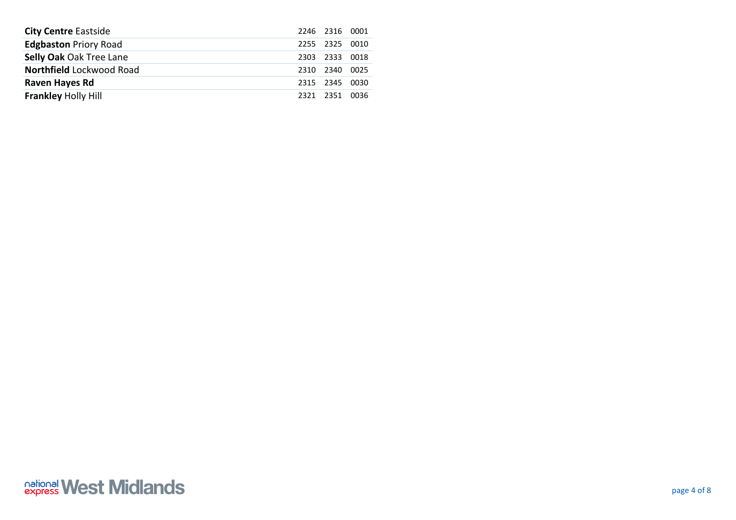| <b>City Centre Eastside</b>     |                | 2246 2316 0001 |      |
|---------------------------------|----------------|----------------|------|
| <b>Edgbaston Priory Road</b>    |                | 2255 2325 0010 |      |
| <b>Selly Oak Oak Tree Lane</b>  | 2303 2333 0018 |                |      |
| <b>Northfield Lockwood Road</b> | 2310 2340      |                | 0025 |
| Raven Hayes Rd                  | 2315 2345 0030 |                |      |
| <b>Frankley Holly Hill</b>      | 2321 2351 0036 |                |      |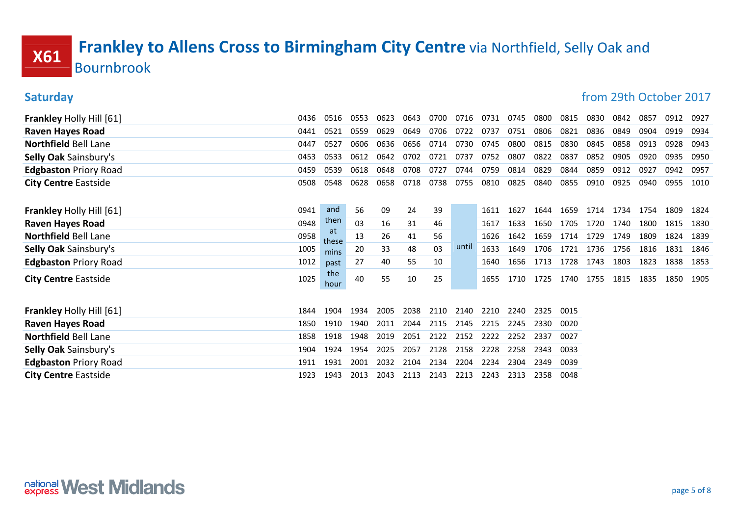## X61 Frankley to Allens Cross to Birmingham City Centre via Northfield, Selly Oak and Bournbrook

| <b>Saturday</b>                 |      |             |      |      |      |      |       |      |      |      |      | from 29th October 2017 |      |      |      |      |
|---------------------------------|------|-------------|------|------|------|------|-------|------|------|------|------|------------------------|------|------|------|------|
| <b>Frankley Holly Hill [61]</b> | 0436 | 0516        | 0553 | 0623 | 0643 | 0700 | 0716  | 0731 | 0745 | 0800 | 0815 | 0830                   | 0842 | 0857 | 0912 | 0927 |
| <b>Raven Hayes Road</b>         | 0441 | 0521        | 0559 | 0629 | 0649 | 0706 | 0722  | 0737 | 0751 | 0806 | 0821 | 0836                   | 0849 | 0904 | 0919 | 0934 |
| <b>Northfield Bell Lane</b>     | 0447 | 0527        | 0606 | 0636 | 0656 | 0714 | 0730  | 0745 | 0800 | 0815 | 0830 | 0845                   | 0858 | 0913 | 0928 | 0943 |
| Selly Oak Sainsbury's           | 0453 | 0533        | 0612 | 0642 | 0702 | 0721 | 0737  | 0752 | 0807 | 0822 | 0837 | 0852                   | 0905 | 0920 | 0935 | 0950 |
| <b>Edgbaston Priory Road</b>    | 0459 | 0539        | 0618 | 0648 | 0708 | 0727 | 0744  | 0759 | 0814 | 0829 | 0844 | 0859                   | 0912 | 0927 | 0942 | 0957 |
| <b>City Centre Eastside</b>     | 0508 | 0548        | 0628 | 0658 | 0718 | 0738 | 0755  | 0810 | 0825 | 0840 | 0855 | 0910                   | 0925 | 0940 | 0955 | 1010 |
| <b>Frankley Holly Hill [61]</b> | 0941 | and         | 56   | 09   | 24   | 39   |       | 1611 | 1627 | 1644 | 1659 | 1714                   | 1734 | 1754 | 1809 | 1824 |
| <b>Raven Hayes Road</b>         | 0948 | then        | 03   | 16   | 31   | 46   |       | 1617 | 1633 | 1650 | 1705 | 1720                   | 1740 | 1800 | 1815 | 1830 |
| <b>Northfield Bell Lane</b>     | 0958 | at<br>these | 13   | 26   | 41   | 56   |       | 1626 | 1642 | 1659 | 1714 | 1729                   | 1749 | 1809 | 1824 | 1839 |
| <b>Selly Oak Sainsbury's</b>    | 1005 | mins        | 20   | 33   | 48   | 03   | until | 1633 | 1649 | 1706 | 1721 | 1736                   | 1756 | 1816 | 1831 | 1846 |
| <b>Edgbaston Priory Road</b>    | 1012 | past        | 27   | 40   | 55   | 10   |       | 1640 | 1656 | 1713 | 1728 | 1743                   | 1803 | 1823 | 1838 | 1853 |
| <b>City Centre Eastside</b>     | 1025 | the<br>hour | 40   | 55   | 10   | 25   |       | 1655 | 1710 | 1725 | 1740 | 1755                   | 1815 | 1835 | 1850 | 1905 |
| <b>Frankley Holly Hill [61]</b> | 1844 | 1904        | 1934 | 2005 | 2038 | 2110 | 2140  | 2210 | 2240 | 2325 | 0015 |                        |      |      |      |      |
| <b>Raven Hayes Road</b>         | 1850 | 1910        | 1940 | 2011 | 2044 | 2115 | 2145  | 2215 | 2245 | 2330 | 0020 |                        |      |      |      |      |
| <b>Northfield Bell Lane</b>     | 1858 | 1918        | 1948 | 2019 | 2051 | 2122 | 2152  | 2222 | 2252 | 2337 | 0027 |                        |      |      |      |      |
| <b>Selly Oak Sainsbury's</b>    | 1904 | 1924        | 1954 | 2025 | 2057 | 2128 | 2158  | 2228 | 2258 | 2343 | 0033 |                        |      |      |      |      |
| <b>Edgbaston Priory Road</b>    | 1911 | 1931        | 2001 | 2032 | 2104 | 2134 | 2204  | 2234 | 2304 | 2349 | 0039 |                        |      |      |      |      |
| <b>City Centre Eastside</b>     | 1923 | 1943        | 2013 | 2043 | 2113 | 2143 | 2213  | 2243 | 2313 | 2358 | 0048 |                        |      |      |      |      |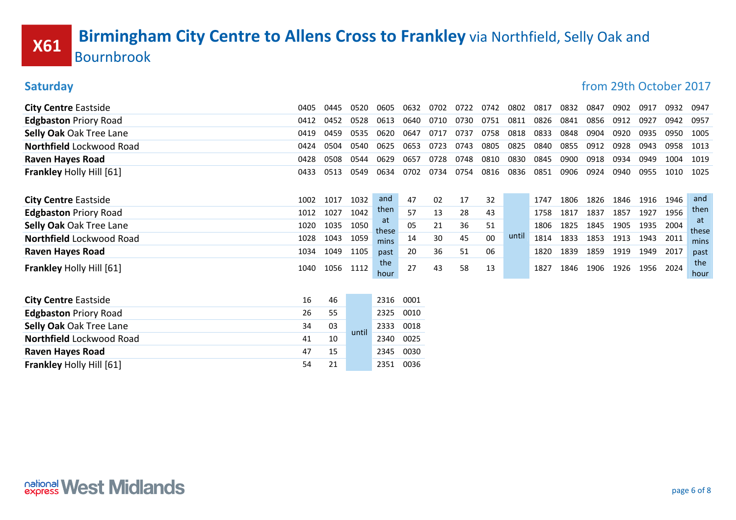# X61 Birmingham City Centre to Allens Cross to Frankley via Northfield, Selly Oak and Bournbrook

| Jaturuay                        |      |      |       |             |      |      |      |      |       |      |      |      | <u>HUIH ZULI UCLUDEL ZUIT</u> |      |      |             |
|---------------------------------|------|------|-------|-------------|------|------|------|------|-------|------|------|------|-------------------------------|------|------|-------------|
| <b>City Centre Eastside</b>     | 0405 | 0445 | 0520  | 0605        | 0632 | 0702 | 0722 | 0742 | 0802  | 0817 | 0832 | 0847 | 0902                          | 0917 | 0932 | 0947        |
| <b>Edgbaston Priory Road</b>    | 0412 | 0452 | 0528  | 0613        | 0640 | 0710 | 0730 | 0751 | 0811  | 0826 | 0841 | 0856 | 0912                          | 0927 | 0942 | 0957        |
| <b>Selly Oak Oak Tree Lane</b>  | 0419 | 0459 | 0535  | 0620        | 0647 | 0717 | 0737 | 0758 | 0818  | 0833 | 0848 | 0904 | 0920                          | 0935 | 0950 | 1005        |
| Northfield Lockwood Road        | 0424 | 0504 | 0540  | 0625        | 0653 | 0723 | 0743 | 0805 | 0825  | 0840 | 0855 | 0912 | 0928                          | 0943 | 0958 | 1013        |
| <b>Raven Hayes Road</b>         | 0428 | 0508 | 0544  | 0629        | 0657 | 0728 | 0748 | 0810 | 0830  | 0845 | 0900 | 0918 | 0934                          | 0949 | 1004 | 1019        |
| <b>Frankley Holly Hill [61]</b> | 0433 | 0513 | 0549  | 0634        | 0702 | 0734 | 0754 | 0816 | 0836  | 0851 | 0906 | 0924 | 0940                          | 0955 | 1010 | 1025        |
| <b>City Centre Eastside</b>     | 1002 | 1017 | 1032  | and         | 47   | 02   | 17   | 32   |       | 1747 | 1806 | 1826 | 1846                          | 1916 | 1946 | and         |
| <b>Edgbaston Priory Road</b>    | 1012 | 1027 | 1042  | then        | 57   | 13   | 28   | 43   |       | 1758 | 1817 | 1837 | 1857                          | 1927 | 1956 | then        |
| <b>Selly Oak Oak Tree Lane</b>  | 1020 | 1035 | 1050  | at<br>these | 05   | 21   | 36   | 51   |       | 1806 | 1825 | 1845 | 1905                          | 1935 | 2004 | at<br>these |
| Northfield Lockwood Road        | 1028 | 1043 | 1059  | mins        | 14   | 30   | 45   | 00   | until | 1814 | 1833 | 1853 | 1913                          | 1943 | 2011 | mins        |
| <b>Raven Hayes Road</b>         | 1034 | 1049 | 1105  | past        | 20   | 36   | 51   | 06   |       | 1820 | 1839 | 1859 | 1919                          | 1949 | 2017 | past        |
| <b>Frankley Holly Hill [61]</b> | 1040 | 1056 | 1112  | the<br>hour | 27   | 43   | 58   | 13   |       | 1827 | 1846 | 1906 | 1926                          | 1956 | 2024 | the<br>hour |
| <b>City Centre Eastside</b>     | 16   | 46   |       | 2316        | 0001 |      |      |      |       |      |      |      |                               |      |      |             |
| <b>Edgbaston Priory Road</b>    | 26   | 55   |       | 2325        | 0010 |      |      |      |       |      |      |      |                               |      |      |             |
| Selly Oak Oak Tree Lane         | 34   | 03   |       | 2333        | 0018 |      |      |      |       |      |      |      |                               |      |      |             |
| Northfield Lockwood Road        | 41   | 10   | until | 2340        | 0025 |      |      |      |       |      |      |      |                               |      |      |             |
| <b>Raven Hayes Road</b>         | 47   | 15   |       | 2345        | 0030 |      |      |      |       |      |      |      |                               |      |      |             |
| <b>Frankley Holly Hill [61]</b> | 54   | 21   |       | 2351        | 0036 |      |      |      |       |      |      |      |                               |      |      |             |
|                                 |      |      |       |             |      |      |      |      |       |      |      |      |                               |      |      |             |

Saturday from 29th October 2017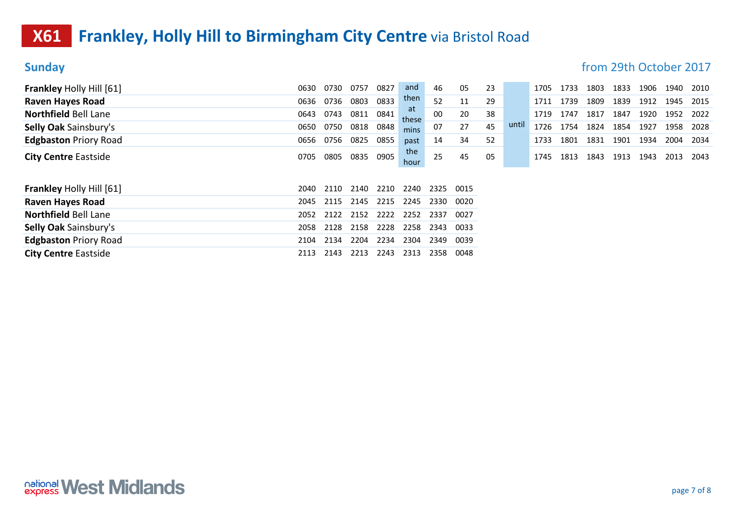## **X61** Frankley, Holly Hill to Birmingham City Centre via Bristol Road

Sunday **Sunday from 29th October 2017** 

| <b>Frankley Holly Hill [61]</b>                            | 0630 | 0730 | 0757 | 0827 | and         | 46   | 05   | 23 |       | 1705 | 1733 | 1803 | 1833 | 1906 | 1940 | 2010 |
|------------------------------------------------------------|------|------|------|------|-------------|------|------|----|-------|------|------|------|------|------|------|------|
| <b>Raven Hayes Road</b>                                    | 0636 | 0736 | 0803 | 0833 | then        | 52   | 11   | 29 |       | 1711 | 1739 | 1809 | 1839 | 1912 | 1945 | 2015 |
| <b>Northfield Bell Lane</b>                                | 0643 | 0743 | 0811 | 0841 | at<br>these | 00   | 20   | 38 |       | 1719 | 1747 | 1817 | 1847 | 1920 | 1952 | 2022 |
| <b>Selly Oak Sainsbury's</b>                               | 0650 | 0750 | 0818 | 0848 | mins        | 07   | 27   | 45 | until | 1726 | 1754 | 1824 | 1854 | 1927 | 1958 | 2028 |
| <b>Edgbaston Priory Road</b>                               | 0656 | 0756 | 0825 | 0855 | past        | 14   | 34   | 52 |       | 1733 | 1801 | 1831 | 1901 | 1934 | 2004 | 2034 |
| <b>City Centre Eastside</b>                                | 0705 | 0805 | 0835 | 0905 | the<br>hour | 25   | 45   | 05 |       | 1745 | 1813 | 1843 | 1913 | 1943 | 2013 | 2043 |
|                                                            |      |      |      |      |             |      |      |    |       |      |      |      |      |      |      |      |
|                                                            | 2040 | 2110 | 2140 | 2210 | 2240        | 2325 | 0015 |    |       |      |      |      |      |      |      |      |
| <b>Frankley Holly Hill [61]</b><br><b>Raven Hayes Road</b> | 2045 | 2115 | 2145 | 2215 | 2245        | 2330 | 0020 |    |       |      |      |      |      |      |      |      |
| <b>Northfield Bell Lane</b>                                | 2052 | 2122 | 2152 | 2222 | 2252        | 2337 | 0027 |    |       |      |      |      |      |      |      |      |
| <b>Selly Oak Sainsbury's</b>                               | 2058 | 2128 | 2158 | 2228 | 2258        | 2343 | 0033 |    |       |      |      |      |      |      |      |      |
| <b>Edgbaston Priory Road</b>                               | 2104 | 2134 | 2204 | 2234 | 2304        | 2349 | 0039 |    |       |      |      |      |      |      |      |      |